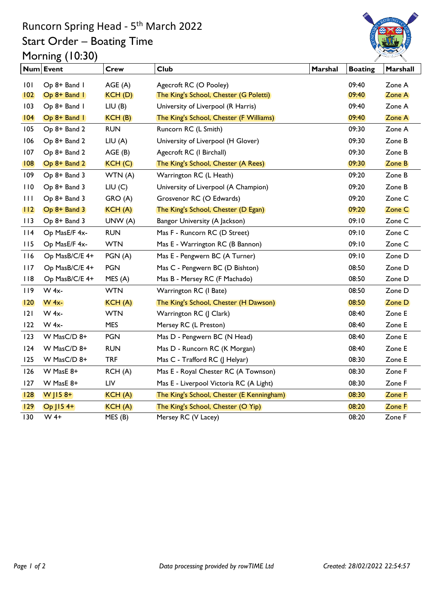## Runcorn Spring Head - 5<sup>th</sup> March 2022 Start Order – Boating Time Morning (10:30)



|              | Num Event      | <b>Crew</b> | <b>Club</b>                               | Marshal | <b>Boating</b> | Marshall |
|--------------|----------------|-------------|-------------------------------------------|---------|----------------|----------|
| 101          | Op 8+ Band I   | AGE(A)      | Agecroft RC (O Pooley)                    |         | 09:40          | Zone A   |
| 102          | Op 8+ Band 1   | KCH(D)      | The King's School, Chester (G Poletti)    |         | 09:40          | Zone A   |
| 103          | Op 8+ Band I   | LIU(B)      | University of Liverpool (R Harris)        |         | 09:40          | Zone A   |
| $ 04\rangle$ | $Op 8+ Band I$ | KCH(B)      | The King's School, Chester (F Williams)   |         | 09:40          | Zone A   |
| 105          | Op 8+ Band 2   | <b>RUN</b>  | Runcorn RC (L Smith)                      |         | 09:30          | Zone A   |
| 106          | Op 8+ Band 2   | LIU(A)      | University of Liverpool (H Glover)        |         | 09:30          | Zone B   |
| 107          | Op 8+ Band 2   | AGE(B)      | Agecroft RC (I Birchall)                  |         | 09:30          | Zone B   |
| 08           | Op 8+ Band 2   | KCH(C)      | The King's School, Chester (A Rees)       |         | 09:30          | Zone B   |
| 109          | Op 8+ Band 3   | WTN (A)     | Warrington RC (L Heath)                   |         | 09:20          | Zone B   |
| 110          | Op 8+ Band 3   | LIU(C)      | University of Liverpool (A Champion)      |         | 09:20          | Zone B   |
| 111          | Op 8+ Band 3   | GRO (A)     | Grosvenor RC (O Edwards)                  |         | 09:20          | Zone C   |
| 112          | $Op 8+ Band 3$ | KCH(A)      | The King's School, Chester (D Egan)       |         | 09:20          | Zone C   |
| 113          | Op 8+ Band 3   | UNW (A)     | Bangor University (A Jackson)             |         | 09:10          | Zone C   |
| $ $   4      | Op MasE/F 4x-  | <b>RUN</b>  | Mas F - Runcorn RC (D Street)             |         | 09:10          | Zone C   |
| 115          | Op MasE/F 4x-  | <b>WTN</b>  | Mas E - Warrington RC (B Bannon)          |         | 09:10          | Zone C   |
| 116          | Op MasB/C/E 4+ | PGN (A)     | Mas E - Pengwern BC (A Turner)            |         | 09:10          | Zone D   |
| 117          | Op MasB/C/E 4+ | <b>PGN</b>  | Mas C - Pengwern BC (D Bishton)           |         | 08:50          | Zone D   |
| 118          | Op MasB/C/E 4+ | MES(A)      | Mas B - Mersey RC (F Machado)             |         | 08:50          | Zone D   |
| 119          | W 4x-          | <b>WTN</b>  | Warrington RC (I Bate)                    |         | 08:50          | Zone D   |
| 120          | <b>W</b> 4x-   | KCH(A)      | The King's School, Chester (H Dawson)     |         | 08:50          | Zone D   |
| 2            | W 4x-          | <b>WTN</b>  | Warrington RC (J Clark)                   |         | 08:40          | Zone E   |
| 122          | $W 4x-$        | <b>MES</b>  | Mersey RC (L Preston)                     |         | 08:40          | Zone E   |
| 123          | W MasC/D 8+    | <b>PGN</b>  | Mas D - Pengwern BC (N Head)              |         | 08:40          | Zone E   |
| 124          | W MasC/D 8+    | <b>RUN</b>  | Mas D - Runcorn RC (K Morgan)             |         | 08:40          | Zone E   |
| 125          | W MasC/D 8+    | <b>TRF</b>  | Mas C - Trafford RC (J Helyar)            |         | 08:30          | Zone E   |
| 126          | W MasE 8+      | RCH(A)      | Mas E - Royal Chester RC (A Townson)      |         | 08:30          | Zone F   |
| 127          | W MasE 8+      | LIV         | Mas E - Liverpool Victoria RC (A Light)   |         | 08:30          | Zone F   |
| 28           | W $ 158+$      | KCH(A)      | The King's School, Chester (E Kenningham) |         | 08:30          | Zone F   |
| 129          | $Op$ J15 4+    | KCH(A)      | The King's School, Chester (O Yip)        |         | 08:20          | Zone F   |
| 130          | $W$ 4+         | MES (B)     | Mersey RC (V Lacey)                       |         | 08:20          | Zone F   |